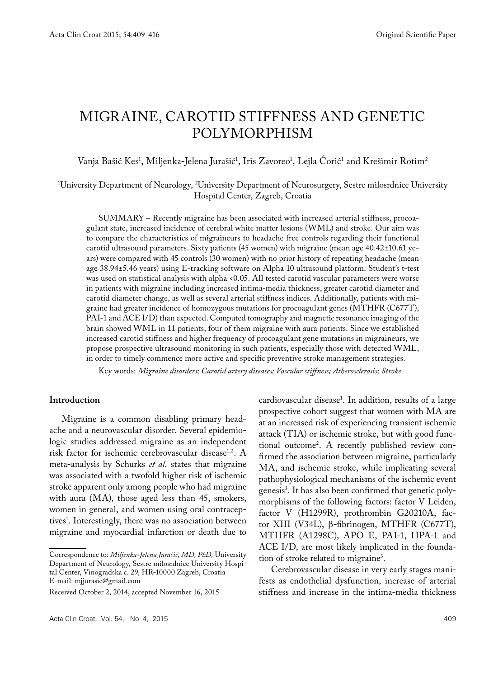# MIGRAINE, CAROTID STIFFNESS AND GENETIC POLYMORPHISM

# Vanja Bašić Kes<sup>1</sup>, Miljenka-Jelena Jurašić<sup>1</sup>, Iris Zavoreo<sup>1</sup>, Lejla Corić<sup>1</sup> and Krešimir Rotim<sup>2</sup>

#### 1 University Department of Neurology, 2 University Department of Neurosurgery, Sestre milosrdnice University Hospital Center, Zagreb, Croatia

SUMMARY – Recently migraine has been associated with increased arterial stiffness, procoagulant state, increased incidence of cerebral white matter lesions (WML) and stroke. Our aim was to compare the characteristics of migraineurs to headache free controls regarding their functional carotid ultrasound parameters. Sixty patients (45 women) with migraine (mean age 40.42±10.61 years) were compared with 45 controls (30 women) with no prior history of repeating headache (mean age 38.94±5.46 years) using E-tracking software on Alpha 10 ultrasound platform. Student's t-test was used on statistical analysis with alpha <0.05. All tested carotid vascular parameters were worse in patients with migraine including increased intima-media thickness, greater carotid diameter and carotid diameter change, as well as several arterial stiffness indices. Additionally, patients with migraine had greater incidence of homozygous mutations for procoagulant genes (MTHFR (C677T), PAI-1 and ACE I/D) than expected. Computed tomography and magnetic resonance imaging of the brain showed WML in 11 patients, four of them migraine with aura patients. Since we established increased carotid stiffness and higher frequency of procoagulant gene mutations in migraineurs, we propose prospective ultrasound monitoring in such patients, especially those with detected WML, in order to timely commence more active and specific preventive stroke management strategies.

Key words: *Migraine disorders; Carotid artery diseases; Vascular stiffness; Atherosclerosis; Stroke*

#### **Introduction**

Migraine is a common disabling primary headache and a neurovascular disorder. Several epidemiologic studies addressed migraine as an independent risk factor for ischemic cerebrovascular disease<sup>1,2</sup>. A meta-analysis by Schurks *et al.* states that migraine was associated with a twofold higher risk of ischemic stroke apparent only among people who had migraine with aura (MA), those aged less than 45, smokers, women in general, and women using oral contraceptives<sup>1</sup>. Interestingly, there was no association between migraine and myocardial infarction or death due to

cardiovascular disease1 . In addition, results of a large prospective cohort suggest that women with MA are at an increased risk of experiencing transient ischemic attack (TIA) or ischemic stroke, but with good functional outcome2 . A recently published review confirmed the association between migraine, particularly MA, and ischemic stroke, while implicating several pathophysiological mechanisms of the ischemic event genesis3 . It has also been confirmed that genetic polymorphisms of the following factors: factor V Leiden, factor V (H1299R), prothrombin G20210A, factor XIII (V34L), β-fibrinogen, MTHFR (C677T), MTHFR (A1298C), APO E, PAI-1, HPA-1 and ACE I/D, are most likely implicated in the foundation of stroke related to migraine<sup>3</sup>.

Cerebrovascular disease in very early stages manifests as endothelial dysfunction, increase of arterial stiffness and increase in the intima-media thickness

Correspondence to: *Miljenka-Jelena Jurašić, MD, PhD,* University Department of Neurology, Sestre milosrdnice University Hospital Center, Vinogradska c. 29, HR-10000 Zagreb, Croatia E-mail: mjjurasic@gmail.com

Received October 2, 2014, accepted November 16, 2015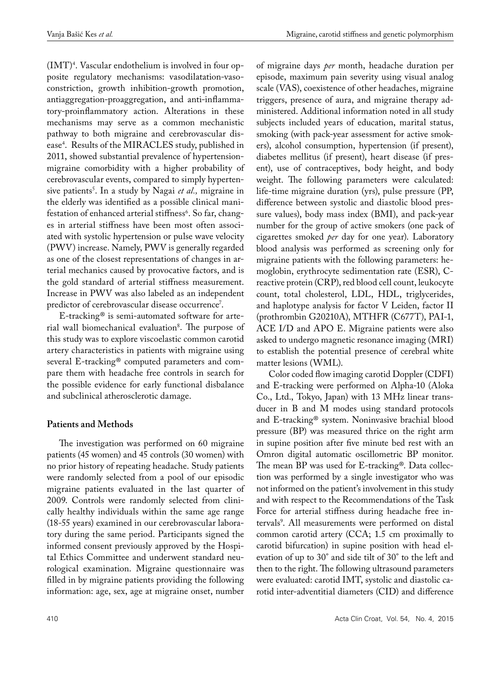$(MT)^4$ . Vascular endothelium is involved in four opposite regulatory mechanisms: vasodilatation-vasoconstriction, growth inhibition-growth promotion, antiaggregation-proaggregation, and anti-inflammatory-proinflammatory action. Alterations in these mechanisms may serve as a common mechanistic pathway to both migraine and cerebrovascular disease4 . Results of the MIRACLES study, published in 2011, showed substantial prevalence of hypertensionmigraine comorbidity with a higher probability of cerebrovascular events, compared to simply hypertensive patients<sup>s</sup>. In a study by Nagai *et al*., migraine in the elderly was identified as a possible clinical manifestation of enhanced arterial stiffness<sup>6</sup>. So far, changes in arterial stiffness have been most often associated with systolic hypertension or pulse wave velocity (PWV) increase. Namely, PWV is generally regarded as one of the closest representations of changes in arterial mechanics caused by provocative factors, and is the gold standard of arterial stiffness measurement. Increase in PWV was also labeled as an independent predictor of cerebrovascular disease occurrence<sup>7</sup>.

E-tracking® is semi-automated software for arterial wall biomechanical evaluation<sup>8</sup>. The purpose of this study was to explore viscoelastic common carotid artery characteristics in patients with migraine using several E-tracking® computed parameters and compare them with headache free controls in search for the possible evidence for early functional disbalance and subclinical atherosclerotic damage.

# **Patients and Methods**

The investigation was performed on 60 migraine patients (45 women) and 45 controls (30 women) with no prior history of repeating headache. Study patients were randomly selected from a pool of our episodic migraine patients evaluated in the last quarter of 2009. Controls were randomly selected from clinically healthy individuals within the same age range (18-55 years) examined in our cerebrovascular laboratory during the same period. Participants signed the informed consent previously approved by the Hospital Ethics Committee and underwent standard neurological examination. Migraine questionnaire was filled in by migraine patients providing the following information: age, sex, age at migraine onset, number

of migraine days *per* month, headache duration per episode, maximum pain severity using visual analog scale (VAS), coexistence of other headaches, migraine triggers, presence of aura, and migraine therapy administered. Additional information noted in all study subjects included years of education, marital status, smoking (with pack-year assessment for active smokers), alcohol consumption, hypertension (if present), diabetes mellitus (if present), heart disease (if present), use of contraceptives, body height, and body weight. The following parameters were calculated: life-time migraine duration (yrs), pulse pressure (PP, difference between systolic and diastolic blood pressure values), body mass index (BMI), and pack-year number for the group of active smokers (one pack of cigarettes smoked *per* day for one year). Laboratory blood analysis was performed as screening only for migraine patients with the following parameters: hemoglobin, erythrocyte sedimentation rate (ESR), Creactive protein (CRP), red blood cell count, leukocyte count, total cholesterol, LDL, HDL, triglycerides, and haplotype analysis for factor V Leiden, factor II (prothrombin G20210A), MTHFR (C677T), PAI-1, ACE I/D and APO E. Migraine patients were also asked to undergo magnetic resonance imaging (MRI) to establish the potential presence of cerebral white matter lesions (WML).

Color coded flow imaging carotid Doppler (CDFI) and E-tracking were performed on Alpha-10 (Aloka Co., Ltd., Tokyo, Japan) with 13 MHz linear transducer in B and M modes using standard protocols and E-tracking® system. Noninvasive brachial blood pressure (BP) was measured thrice on the right arm in supine position after five minute bed rest with an Omron digital automatic oscillometric BP monitor. The mean BP was used for E-tracking®. Data collection was performed by a single investigator who was not informed on the patient's involvement in this study and with respect to the Recommendations of the Task Force for arterial stiffness during headache free intervals<sup>9</sup>. All measurements were performed on distal common carotid artery (CCA; 1.5 cm proximally to carotid bifurcation) in supine position with head elevation of up to 30° and side tilt of 30° to the left and then to the right. The following ultrasound parameters were evaluated: carotid IMT, systolic and diastolic carotid inter-adventitial diameters (CID) and difference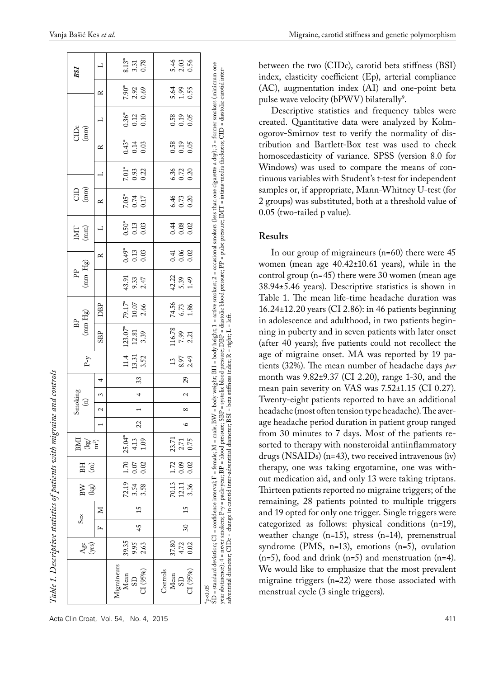|                                                                                                                                                                                                                                                                                                                                                                                                                                                                                                                                                     | Age<br>(yrs)          |                 | $S_{\rm ex}$ | BW<br>$\left( \mathrm{kg}\right)$ | BH<br>$\widehat{\Xi}$                        | $\frac{\langle \mathbf{k}\mathbf{g}^{\prime} \rangle}{m^{2}}$<br>BМ |         | Smoking<br>$\begin{pmatrix} 1 \\ 0 \end{pmatrix}$ |                          |    | $P-\gamma$                          | $(\text{mm Hg})$<br>BP                                  |                             | $(\text{mm Hg})$<br>È |                         | IML<br>(mm)                     | $\bigoplus_{n=1}^{\infty}$ |                         |                                     | $\bigoplus_{\left(\mbox{mm}\right)}^{\infty} \widehat{\mathbf{E}}$ |                       | BSI                   |
|-----------------------------------------------------------------------------------------------------------------------------------------------------------------------------------------------------------------------------------------------------------------------------------------------------------------------------------------------------------------------------------------------------------------------------------------------------------------------------------------------------------------------------------------------------|-----------------------|-----------------|--------------|-----------------------------------|----------------------------------------------|---------------------------------------------------------------------|---------|---------------------------------------------------|--------------------------|----|-------------------------------------|---------------------------------------------------------|-----------------------------|-----------------------|-------------------------|---------------------------------|----------------------------|-------------------------|-------------------------------------|--------------------------------------------------------------------|-----------------------|-----------------------|
|                                                                                                                                                                                                                                                                                                                                                                                                                                                                                                                                                     |                       | Ĺ.              | Σ            |                                   |                                              |                                                                     |         | 2                                                 | 3                        | 4  |                                     | <b>SBP</b>                                              | DBP                         |                       | $\approx$               | ⊣                               | ≃                          |                         | ≃                                   | 凵                                                                  | ≃                     |                       |
| Migraineurs<br>C1(95%)<br>Mean<br>$\overline{S}$                                                                                                                                                                                                                                                                                                                                                                                                                                                                                                    | 2.63<br>39.35<br>9.95 | 45              | 15           | $3.54$<br>$3.58$                  | $72.19$ 1.70 25.04*<br> 0.07 <br>0.02        | 4.13<br>1.09                                                        | 22      |                                                   | 4                        | 33 | $11.4$   $123.07*$<br>13.31<br>3.52 | 12.81<br>3.39                                           | 79.17*<br>$10.07\,$<br>2.66 | 43.91<br>9.33<br>2.47 | $0.49*$<br>0.13<br>0.03 | $\frac{0.50^{*}}{0.13}$<br>0.03 | $7.05*$<br>$0.74$<br>0.17  | $7.01*$<br>0.93<br>0.22 | $0.43$ <sup>*</sup><br>0.14<br>0.03 | $0.36*$<br>$0.12$<br>$0.10$                                        | 7.90*<br>2.92<br>0.69 | 8.13*<br>0.78<br>3.31 |
| C1(95%)<br>Controls<br>Mean<br>$\overline{S}$                                                                                                                                                                                                                                                                                                                                                                                                                                                                                                       | 4.72<br>0.02<br>37.80 | $\overline{30}$ | 15           | 3.36                              | $70.13$   1.72   23.71<br>12.11 0.09<br>0.02 | 2.71<br>0.75                                                        | $\circ$ | $^{\circ}$                                        | $\overline{\mathcal{C}}$ | 29 | $\frac{3}{2}$<br>8.97<br>2.49       | $116.78\,$ $\mid$<br>7.99<br>2.21                       | 74.56<br>$6.73$<br>1.86     | 42.22<br>5.39<br>1.49 | 0.3<br>0.00<br>0.00     | 0.08<br>0.02                    | 6.46<br>0.73<br>0.20       | 8.32<br>0.23<br>0.30    | 0.58<br>0.19<br>0.05                | 0.58<br>0.19<br>0.05                                               | 5.6<br>1.95<br>0.55   | 5.46<br>2.03<br>0.56  |
| SD = standard deviation; CI = confidence interval; F = female; M = male; BN = body weight; BH = body height; 1 = active smokers; 2 = occasional smokers (less than one cigarette a day); 3 = former smokers (minimum one<br>year abstinence); 4 = never smokers; P-y = pack-year; BP = blood pressure; SBP = systolic blood pressure; DBP = diastolic blood pressure; PP = pulse pressure; D/IT = intima-media thickness; CID = diastolic carotid inter-<br>adventitial diameter; CIDc = change in carotid inter-adventitial dia<br>$_{\rm p<0.05}$ |                       |                 |              |                                   |                                              |                                                                     |         |                                                   |                          |    |                                     | meter; BSI = beta stiffness index; R = right; L = left. |                             |                       |                         |                                 |                            |                         |                                     |                                                                    |                       |                       |

*Table 1. Descriptive statistics of patients with migraine and controls*

Table 1. Descriptive statistics of patients with migraine and controls

between the two (CIDc), carotid beta stiffness (BSI) index, elasticity coefficient (Ep), arterial compliance (AC), augmentation index (AI) and one-point beta pulse wave velocity (b $\mathrm{PWW}$ ) bilaterally $^9$ .

Descriptive statistics and frequency tables were created. Quantitative data were analyzed by Kolmogorov-Smirnov test to verify the normality of distribution and Bartlett-Box test was used to check homoscedasticity of variance. SPSS (version 8.0 for Windows) was used to compare the means of continuous variables with Student's t-test for independent samples or, if appropriate, Mann-Whitney U-test (for 2 groups) was substituted, both at a threshold value of 0.05 (two-tailed p value).

## **Results**

In our group of migraineurs (n=60) there were 45 women (mean age 40.42±10.61 years), while in the control group (n=45) there were 30 women (mean age 38.94±5.46 years). Descriptive statistics is shown in Table 1. The mean life-time headache duration was 16.24±12.20 years (CI 2.86): in 46 patients beginning in adolescence and adulthood, in two patients beginning in puberty and in seven patients with later onset (after 40 years); five patients could not recollect the age of migraine onset. MA was reported by 19 patients (32%). The mean number of headache days *per*  month was 9.82±9.37 (CI 2.20), range 1-30, and the mean pain severity on VAS was 7.52±1.15 (CI 0.27). Twenty-eight patients reported to have an additional headache (most often tension type headache). The average headache period duration in patient group ranged from 30 minutes to 7 days. Most of the patients resorted to therapy with nonsteroidal antiinflammatory drugs (NSAIDs) (n=43), two received intravenous (iv) therapy, one was taking ergotamine, one was without medication aid, and only 13 were taking triptans. Thirteen patients reported no migraine triggers; of the remaining, 28 patients pointed to multiple triggers and 19 opted for only one trigger. Single triggers were categorized as follows: physical conditions (n=19), weather change (n=15), stress (n=14), premenstrual syndrome (PMS, n=13), emotions (n=5), ovulation  $(n=5)$ , food and drink  $(n=5)$  and menstruation  $(n=4)$ . We would like to emphasize that the most prevalent migraine triggers (n=22) were those associated with menstrual cycle (3 single triggers).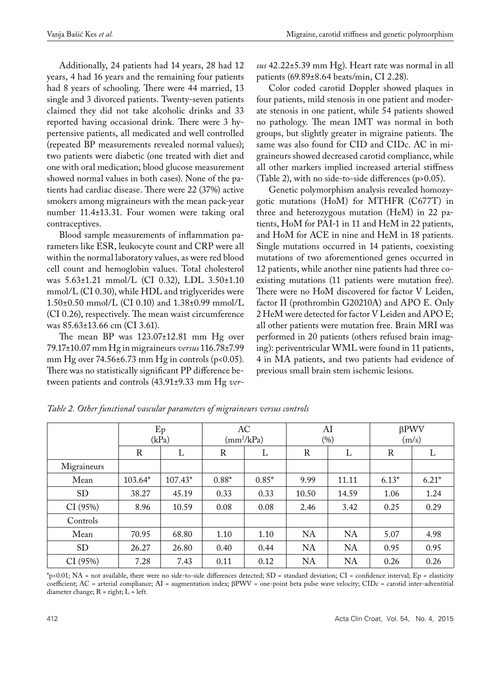Additionally, 24 patients had 14 years, 28 had 12 years, 4 had 16 years and the remaining four patients had 8 years of schooling. There were 44 married, 13 single and 3 divorced patients. Twenty-seven patients claimed they did not take alcoholic drinks and 33 reported having occasional drink. There were 3 hypertensive patients, all medicated and well controlled (repeated BP measurements revealed normal values); two patients were diabetic (one treated with diet and one with oral medication; blood glucose measurement showed normal values in both cases). None of the patients had cardiac disease. There were 22 (37%) active smokers among migraineurs with the mean pack-year number 11.4±13.31. Four women were taking oral contraceptives.

Blood sample measurements of inflammation parameters like ESR, leukocyte count and CRP were all within the normal laboratory values, as were red blood cell count and hemoglobin values. Total cholesterol was 5.63±1.21 mmol/L (CI 0.32), LDL 3.50±1.10 mmol/L (CI 0.30), while HDL and triglycerides were 1.50±0.50 mmol/L (CI 0.10) and 1.38±0.99 mmol/L (CI 0.26), respectively. The mean waist circumference was 85.63±13.66 cm (CI 3.61).

The mean BP was 123.07±12.81 mm Hg over 79.17±10.07 mm Hg in migraineurs *versus* 116.78±7.99 mm Hg over  $74.56 \pm 6.73$  mm Hg in controls (p<0.05). There was no statistically significant PP difference between patients and controls (43.91±9.33 mm Hg *ver-* *sus* 42.22±5.39 mm Hg). Heart rate was normal in all patients (69.89±8.64 beats/min, CI 2.28).

Color coded carotid Doppler showed plaques in four patients, mild stenosis in one patient and moderate stenosis in one patient, while 54 patients showed no pathology. The mean IMT was normal in both groups, but slightly greater in migraine patients. The same was also found for CID and CIDc. AC in migraineurs showed decreased carotid compliance, while all other markers implied increased arterial stiffness (Table 2), with no side-to-side differences (p>0.05).

Genetic polymorphism analysis revealed homozygotic mutations (HoM) for MTHFR (C677T) in three and heterozygous mutation (HeM) in 22 patients, HoM for PAI-1 in 11 and HeM in 22 patients, and HoM for ACE in nine and HeM in 18 patients. Single mutations occurred in 14 patients, coexisting mutations of two aforementioned genes occurred in 12 patients, while another nine patients had three coexisting mutations (11 patients were mutation free). There were no HoM discovered for factor V Leiden, factor II (prothrombin G20210A) and APO E. Only 2 HeM were detected for factor V Leiden and APO E; all other patients were mutation free. Brain MRI was performed in 20 patients (others refused brain imaging): periventricular WML were found in 11 patients, 4 in MA patients, and two patients had evidence of previous small brain stem ischemic lesions.

|             |         | Ep<br>(kPa) | AC<br>$(mm^2/kPa)$ |         | AI        | (%)       |         | $\beta$ PWV<br>(m/s) |
|-------------|---------|-------------|--------------------|---------|-----------|-----------|---------|----------------------|
|             | R       | L           | $\mathbb R$        | L       | R         | L         | R       | L                    |
| Migraineurs |         |             |                    |         |           |           |         |                      |
| Mean        | 103.64* | 107.43*     | $0.88*$            | $0.85*$ | 9.99      | 11.11     | $6.13*$ | $6.21*$              |
| <b>SD</b>   | 38.27   | 45.19       | 0.33               | 0.33    | 10.50     | 14.59     | 1.06    | 1.24                 |
| CI(95%)     | 8.96    | 10.59       | 0.08               | 0.08    | 2.46      | 3.42      | 0.25    | 0.29                 |
| Controls    |         |             |                    |         |           |           |         |                      |
| Mean        | 70.95   | 68.80       | 1.10               | 1.10    | <b>NA</b> | NA        | 5.07    | 4.98                 |
| <b>SD</b>   | 26.27   | 26.80       | 0.40               | 0.44    | NA        | NA        | 0.95    | 0.95                 |
| CI (95%)    | 7.28    | 7.43        | 0.11               | 0.12    | <b>NA</b> | <b>NA</b> | 0.26    | 0.26                 |

*Table 2. Other functional vascular parameters of migraineurs versus controls*

\*p<0.01; NA = not available, there were no side-to-side differences detected; SD = standard deviation; CI = confidence interval; Ep = elasticity coefficient; AC = arterial compliance; AI = augmentation index; βPWV = one-point beta pulse wave velocity; CIDc = carotid inter-adventitial diameter change;  $R = right$ ;  $L = left$ .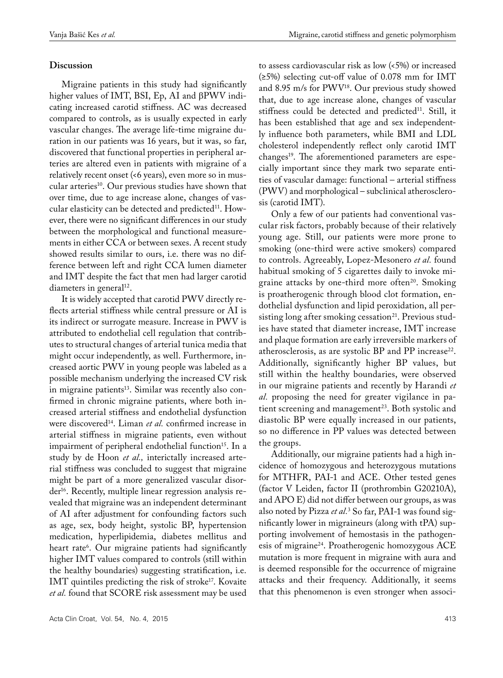## **Discussion**

Migraine patients in this study had significantly higher values of IMT, BSI, Ep, AI and βPWV indicating increased carotid stiffness. AC was decreased compared to controls, as is usually expected in early vascular changes. The average life-time migraine duration in our patients was 16 years, but it was, so far, discovered that functional properties in peripheral arteries are altered even in patients with migraine of a relatively recent onset (<6 years), even more so in muscular arteries<sup>10</sup>. Our previous studies have shown that over time, due to age increase alone, changes of vascular elasticity can be detected and predicted<sup>11</sup>. However, there were no significant differences in our study between the morphological and functional measurements in either CCA or between sexes. A recent study showed results similar to ours, i.e. there was no difference between left and right CCA lumen diameter and IMT despite the fact that men had larger carotid diameters in general<sup>12</sup>.

It is widely accepted that carotid PWV directly reflects arterial stiffness while central pressure or AI is its indirect or surrogate measure. Increase in PWV is attributed to endothelial cell regulation that contributes to structural changes of arterial tunica media that might occur independently, as well. Furthermore, increased aortic PWV in young people was labeled as a possible mechanism underlying the increased CV risk in migraine patients<sup>13</sup>. Similar was recently also confirmed in chronic migraine patients, where both increased arterial stiffness and endothelial dysfunction were discovered<sup>14</sup>. Liman *et al.* confirmed increase in arterial stiffness in migraine patients, even without impairment of peripheral endothelial function<sup>15</sup>. In a study by de Hoon *et al.,* interictally increased arterial stiffness was concluded to suggest that migraine might be part of a more generalized vascular disorder16. Recently, multiple linear regression analysis revealed that migraine was an independent determinant of AI after adjustment for confounding factors such as age, sex, body height, systolic BP, hypertension medication, hyperlipidemia, diabetes mellitus and heart rate6 . Our migraine patients had significantly higher IMT values compared to controls (still within the healthy boundaries) suggesting stratification, i.e. IMT quintiles predicting the risk of stroke<sup>17</sup>. Kovaite *et al.* found that SCORE risk assessment may be used

Acta Clin Croat, Vol. 54, No. 4, 2015 413

to assess cardiovascular risk as low (<5%) or increased (≥5%) selecting cut-off value of 0.078 mm for IMT and 8.95 m/s for PWV18. Our previous study showed that, due to age increase alone, changes of vascular stiffness could be detected and predicted<sup>11</sup>. Still, it has been established that age and sex independently influence both parameters, while BMI and LDL cholesterol independently reflect only carotid IMT changes<sup>19</sup>. The aforementioned parameters are especially important since they mark two separate entities of vascular damage: functional – arterial stiffness (PWV) and morphological – subclinical atherosclerosis (carotid IMT).

Only a few of our patients had conventional vascular risk factors, probably because of their relatively young age. Still, our patients were more prone to smoking (one-third were active smokers) compared to controls. Agreeably, Lopez-Mesonero *et al.* found habitual smoking of 5 cigarettes daily to invoke migraine attacks by one-third more often<sup>20</sup>. Smoking is proatherogenic through blood clot formation, endothelial dysfunction and lipid peroxidation, all persisting long after smoking cessation<sup>21</sup>. Previous studies have stated that diameter increase, IMT increase and plaque formation are early irreversible markers of atherosclerosis, as are systolic BP and PP increase<sup>22</sup>. Additionally, significantly higher BP values, but still within the healthy boundaries, were observed in our migraine patients and recently by Harandi *et al.* proposing the need for greater vigilance in patient screening and management<sup>23</sup>. Both systolic and diastolic BP were equally increased in our patients, so no difference in PP values was detected between the groups.

Additionally, our migraine patients had a high incidence of homozygous and heterozygous mutations for MTHFR, PAI-1 and ACE. Other tested genes (factor V Leiden, factor II (prothrombin G20210A), and APO E) did not differ between our groups, as was also noted by Pizza *et al*.<sup>3</sup> So far, PAI-1 was found significantly lower in migraineurs (along with tPA) supporting involvement of hemostasis in the pathogenesis of migraine<sup>24</sup>. Proatherogenic homozygous ACE mutation is more frequent in migraine with aura and is deemed responsible for the occurrence of migraine attacks and their frequency. Additionally, it seems that this phenomenon is even stronger when associ-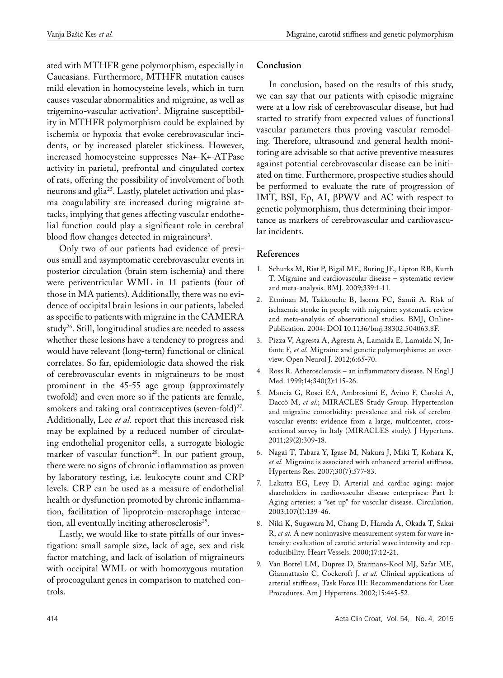ated with MTHFR gene polymorphism, especially in Caucasians. Furthermore, MTHFR mutation causes mild elevation in homocysteine levels, which in turn causes vascular abnormalities and migraine, as well as trigemino-vascular activation3 . Migraine susceptibility in MTHFR polymorphism could be explained by ischemia or hypoxia that evoke cerebrovascular incidents, or by increased platelet stickiness. However, increased homocysteine suppresses Na+-K+-ATPase activity in parietal, prefrontal and cingulated cortex of rats, offering the possibility of involvement of both neurons and glia25. Lastly, platelet activation and plasma coagulability are increased during migraine attacks, implying that genes affecting vascular endothelial function could play a significant role in cerebral blood flow changes detected in migraineurs<sup>3</sup>.

Only two of our patients had evidence of previous small and asymptomatic cerebrovascular events in posterior circulation (brain stem ischemia) and there were periventricular WML in 11 patients (four of those in MA patients). Additionally, there was no evidence of occipital brain lesions in our patients, labeled as specific to patients with migraine in the CAMERA study<sup>26</sup>. Still, longitudinal studies are needed to assess whether these lesions have a tendency to progress and would have relevant (long-term) functional or clinical correlates. So far, epidemiologic data showed the risk of cerebrovascular events in migraineurs to be most prominent in the 45-55 age group (approximately twofold) and even more so if the patients are female, smokers and taking oral contraceptives (seven-fold)<sup>27</sup>. Additionally, Lee *et al.* report that this increased risk may be explained by a reduced number of circulating endothelial progenitor cells, a surrogate biologic marker of vascular function<sup>28</sup>. In our patient group, there were no signs of chronic inflammation as proven by laboratory testing, i.e. leukocyte count and CRP levels. CRP can be used as a measure of endothelial health or dysfunction promoted by chronic inflammation, facilitation of lipoprotein-macrophage interaction, all eventually inciting atherosclerosis<sup>29</sup>.

Lastly, we would like to state pitfalls of our investigation: small sample size, lack of age, sex and risk factor matching, and lack of isolation of migraineurs with occipital WML or with homozygous mutation of procoagulant genes in comparison to matched controls.

# **Conclusion**

In conclusion, based on the results of this study, we can say that our patients with episodic migraine were at a low risk of cerebrovascular disease, but had started to stratify from expected values of functional vascular parameters thus proving vascular remodeling. Therefore, ultrasound and general health monitoring are advisable so that active preventive measures against potential cerebrovascular disease can be initiated on time. Furthermore, prospective studies should be performed to evaluate the rate of progression of IMT, BSI, Ep, AI, βPWV and AC with respect to genetic polymorphism, thus determining their importance as markers of cerebrovascular and cardiovascular incidents.

# **References**

- 1. Schurks M, Rist P, Bigal ME, Buring JE, Lipton RB, Kurth T. Migraine and cardiovascular disease – systematic review and meta-analysis. BMJ. 2009;339:1-11.
- 2. Etminan M, Takkouche B, Isorna FC, Samii A. Risk of ischaemic stroke in people with migraine: systematic review and meta-analysis of observational studies. BMJ, Online-Publication. 2004: DOI 10.1136/bmj.38302.504063.8F.
- 3. Pizza V, Agresta A, Agresta A, Lamaida E, Lamaida N, Infante F, *et al.* Migraine and genetic polymorphisms: an overview. Open Neurol J. 2012;6:65-70.
- 4. Ross R. Atherosclerosis an inflammatory disease. N Engl J Med. 1999;14;340(2):115-26.
- 5. Mancia G, Rosei EA, Ambrosioni E, Avino F, Carolei A, Daccò M, et al.; MIRACLES Study Group. Hypertension and migraine comorbidity: prevalence and risk of cerebrovascular events: evidence from a large, multicenter, crosssectional survey in Italy (MIRACLES study). J Hypertens. 2011;29(2):309-18.
- 6. Nagai T, Tabara Y, Igase M, Nakura J, Miki T, Kohara K, *et al.* Migraine is associated with enhanced arterial stiffness. Hypertens Res. 2007;30(7):577-83.
- 7. Lakatta EG, Levy D. Arterial and cardiac aging: major shareholders in cardiovascular disease enterprises: Part I: Aging arteries: a "set up" for vascular disease. Circulation. 2003;107(1):139-46.
- 8. Niki K, Sugawara M, Chang D, Harada A, Okada T, Sakai R, *et al.* A new noninvasive measurement system for wave intensity: evaluation of carotid arterial wave intensity and reproducibility. Heart Vessels. 2000;17:12-21.
- 9. Van Bortel LM, Duprez D, Starmans-Kool MJ, Safar ME, Giannattasio C, Cockcroft J, *et al.* Clinical applications of arterial stiffness, Task Force III: Recommendations for User Procedures. Am J Hypertens. 2002;15:445-52.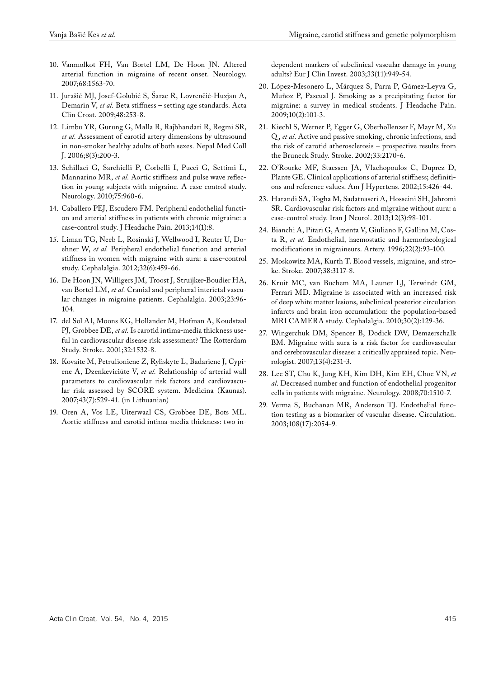- 10. Vanmolkot FH, Van Bortel LM, De Hoon JN. Altered arterial function in migraine of recent onset. Neurology. 2007;68:1563-70.
- 11. Jurašić MJ, Josef-Golubić S, Šarac R, Lovrenčić-Huzjan A, Demarin V, *et al.* Beta stiffness – setting age standards. Acta Clin Croat. 2009;48:253-8.
- 12. Limbu YR, Gurung G, Malla R, Rajbhandari R, Regmi SR, *et al.* Assessment of carotid artery dimensions by ultrasound in non-smoker healthy adults of both sexes. Nepal Med Coll J. 2006;8(3):200-3.
- 13. Schillaci G, Sarchielli P, Corbelli I, Pucci G, Settimi L, Mannarino MR, *et al.* Aortic stiffness and pulse wave reflection in young subjects with migraine. A case control study. Neurology. 2010;75:960-6.
- 14. Caballero PEJ, Escudero FM. Peripheral endothelial function and arterial stiffness in patients with chronic migraine: a case-control study. J Headache Pain. 2013;14(1):8.
- 15. Liman TG, Neeb L, Rosinski J, Wellwood I, Reuter U, Doehner W, *et al.* Peripheral endothelial function and arterial stiffness in women with migraine with aura: a case-control study. Cephalalgia. 2012;32(6):459-66.
- 16. De Hoon JN, Willigers JM, Troost J, Struijker-Boudier HA, van Bortel LM, *et al.* Cranial and peripheral interictal vascular changes in migraine patients. Cephalalgia. 2003;23:96- 104.
- 17. del Sol AI, Moons KG, Hollander M, Hofman A, Koudstaal PJ, Grobbee DE, *et al.* Is carotid intima-media thickness useful in cardiovascular disease risk assessment? The Rotterdam Study. Stroke. 2001;32:1532-8.
- 18. Kovaite M, Petrulioniene Z, Ryliskyte L, Badariene J, Cypiene A, Dzenkeviciūte V, *et al.* Relationship of arterial wall parameters to cardiovascular risk factors and cardiovascular risk assessed by SCORE system. Medicina (Kaunas). 2007;43(7):529-41. (in Lithuanian)
- 19. Oren A, Vos LE, Uiterwaal CS, Grobbee DE, Bots ML. Aortic stiffness and carotid intima-media thickness: two in-

dependent markers of subclinical vascular damage in young adults? Eur J Clin Invest. 2003;33(11):949-54.

- 20. López-Mesonero L, Márquez S, Parra P, Gámez-Leyva G, Muñoz P, Pascual J. Smoking as a precipitating factor for migraine: a survey in medical students. J Headache Pain. 2009;10(2):101-3.
- 21. Kiechl S, Werner P, Egger G, Oberhollenzer F, Mayr M, Xu Q , *et al*. Active and passive smoking, chronic infections, and the risk of carotid atherosclerosis – prospective results from the Bruneck Study. Stroke. 2002;33:2170-6.
- 22. O'Rourke MF, Staessen JA, Vlachopoulos C, Duprez D, Plante GE. Clinical applications of arterial stiffness; definitions and reference values. Am J Hypertens. 2002;15:426-44.
- 23. Harandi SA, Togha M, Sadatnaseri A, Hosseini SH, Jahromi SR. Cardiovascular risk factors and migraine without aura: a case-control study. Iran J Neurol. 2013;12(3):98-101.
- 24. Bianchi A, Pitari G, Amenta V, Giuliano F, Gallina M, Costa R, *et al.* Endothelial, haemostatic and haemorheological modifications in migraineurs. Artery. 1996;22(2):93-100.
- 25. Moskowitz MA, Kurth T. Blood vessels, migraine, and stroke. Stroke. 2007;38:3117-8.
- 26. Kruit MC, van Buchem MA, Launer LJ, Terwindt GM, Ferrari MD. Migraine is associated with an increased risk of deep white matter lesions, subclinical posterior circulation infarcts and brain iron accumulation: the population-based MRI CAMERA study. Cephalalgia. 2010;30(2):129-36.
- 27. Wingerchuk DM, Spencer B, Dodick DW, Demaerschalk BM. Migraine with aura is a risk factor for cardiovascular and cerebrovascular disease: a critically appraised topic. Neurologist. 2007;13(4):231-3.
- 28. Lee ST, Chu K, Jung KH, Kim DH, Kim EH, Choe VN, *et al*. Decreased number and function of endothelial progenitor cells in patients with migraine. Neurology. 2008;70:1510-7.
- 29. Verma S, Buchanan MR, Anderson TJ. Endothelial function testing as a biomarker of vascular disease. Circulation. 2003;108(17):2054-9.